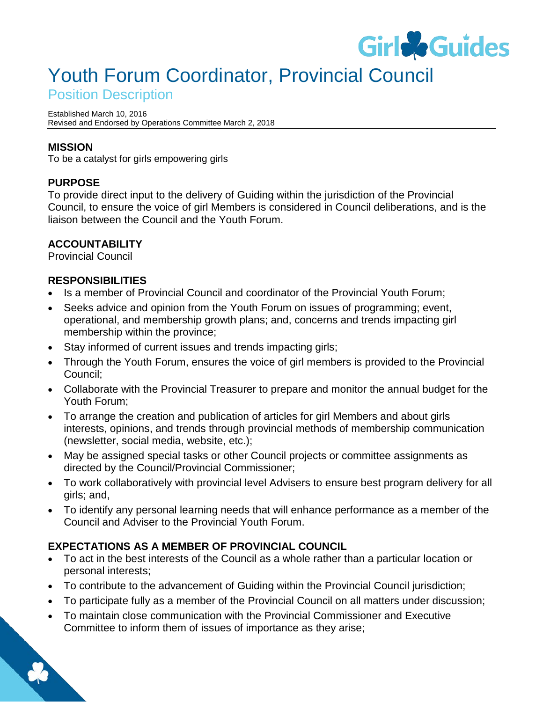

# Youth Forum Coordinator, Provincial Council

Position Description

Established March 10, 2016 Revised and Endorsed by Operations Committee March 2, 2018

### **MISSION**

To be a catalyst for girls empowering girls

## **PURPOSE**

To provide direct input to the delivery of Guiding within the jurisdiction of the Provincial Council, to ensure the voice of girl Members is considered in Council deliberations, and is the liaison between the Council and the Youth Forum.

#### **ACCOUNTABILITY**

Provincial Council

#### **RESPONSIBILITIES**

- Is a member of Provincial Council and coordinator of the Provincial Youth Forum;
- Seeks advice and opinion from the Youth Forum on issues of programming; event, operational, and membership growth plans; and, concerns and trends impacting girl membership within the province;
- Stay informed of current issues and trends impacting girls;
- Through the Youth Forum, ensures the voice of girl members is provided to the Provincial Council;
- Collaborate with the Provincial Treasurer to prepare and monitor the annual budget for the Youth Forum;
- To arrange the creation and publication of articles for girl Members and about girls interests, opinions, and trends through provincial methods of membership communication (newsletter, social media, website, etc.);
- May be assigned special tasks or other Council projects or committee assignments as directed by the Council/Provincial Commissioner;
- To work collaboratively with provincial level Advisers to ensure best program delivery for all girls; and,
- To identify any personal learning needs that will enhance performance as a member of the Council and Adviser to the Provincial Youth Forum.

## **EXPECTATIONS AS A MEMBER OF PROVINCIAL COUNCIL**

- To act in the best interests of the Council as a whole rather than a particular location or personal interests;
- To contribute to the advancement of Guiding within the Provincial Council jurisdiction;
- To participate fully as a member of the Provincial Council on all matters under discussion;
- To maintain close communication with the Provincial Commissioner and Executive Committee to inform them of issues of importance as they arise;